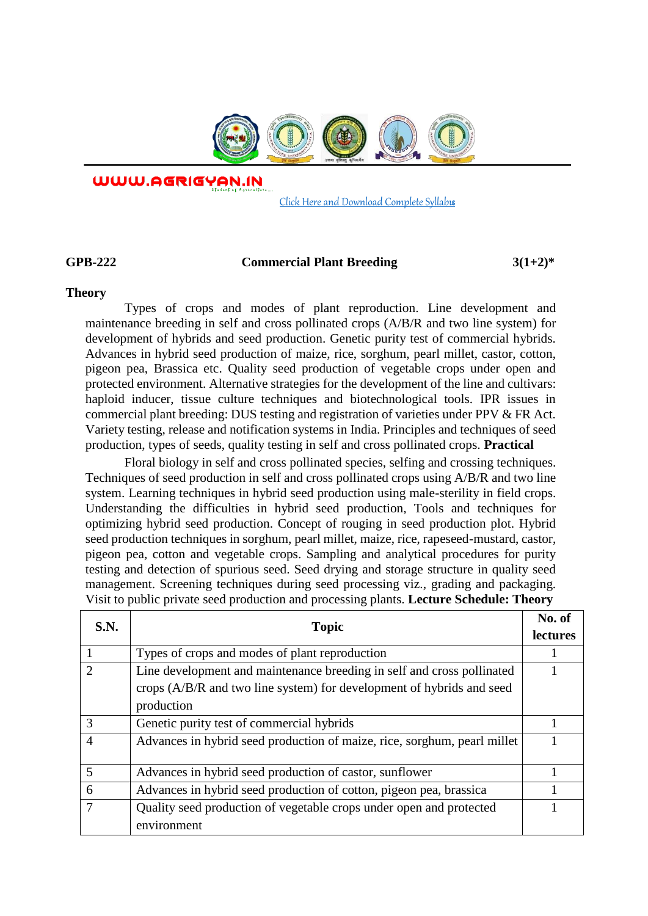

WWW.AGRIGYAN.IN

[Click Here and Download Complete Syllabus](http://agrigyan.in/)

 $\overline{a}$ 

# **GPB-222 Commercial Plant Breeding 3(1+2)\***

### **Theory**

Types of crops and modes of plant reproduction. Line development and maintenance breeding in self and cross pollinated crops (A/B/R and two line system) for development of hybrids and seed production. Genetic purity test of commercial hybrids. Advances in hybrid seed production of maize, rice, sorghum, pearl millet, castor, cotton, pigeon pea, Brassica etc. Quality seed production of vegetable crops under open and protected environment. Alternative strategies for the development of the line and cultivars: haploid inducer, tissue culture techniques and biotechnological tools. IPR issues in commercial plant breeding: DUS testing and registration of varieties under PPV & FR Act. Variety testing, release and notification systems in India. Principles and techniques of seed production, types of seeds, quality testing in self and cross pollinated crops. **Practical**

Floral biology in self and cross pollinated species, selfing and crossing techniques. Techniques of seed production in self and cross pollinated crops using A/B/R and two line system. Learning techniques in hybrid seed production using male-sterility in field crops. Understanding the difficulties in hybrid seed production, Tools and techniques for optimizing hybrid seed production. Concept of rouging in seed production plot. Hybrid seed production techniques in sorghum, pearl millet, maize, rice, rapeseed-mustard, castor, pigeon pea, cotton and vegetable crops. Sampling and analytical procedures for purity testing and detection of spurious seed. Seed drying and storage structure in quality seed management. Screening techniques during seed processing viz., grading and packaging. Visit to public private seed production and processing plants. **Lecture Schedule: Theory** 

| S.N.          | <b>Topic</b>                                                             | No. of          |
|---------------|--------------------------------------------------------------------------|-----------------|
|               |                                                                          | <b>lectures</b> |
|               | Types of crops and modes of plant reproduction                           |                 |
|               | Line development and maintenance breeding in self and cross pollinated   |                 |
|               | crops (A/B/R and two line system) for development of hybrids and seed    |                 |
|               | production                                                               |                 |
| $\mathcal{R}$ | Genetic purity test of commercial hybrids                                |                 |
| 4             | Advances in hybrid seed production of maize, rice, sorghum, pearl millet |                 |
| 5             | Advances in hybrid seed production of castor, sunflower                  |                 |
|               |                                                                          |                 |
| 6             | Advances in hybrid seed production of cotton, pigeon pea, brassica       |                 |
|               | Quality seed production of vegetable crops under open and protected      |                 |
|               | environment                                                              |                 |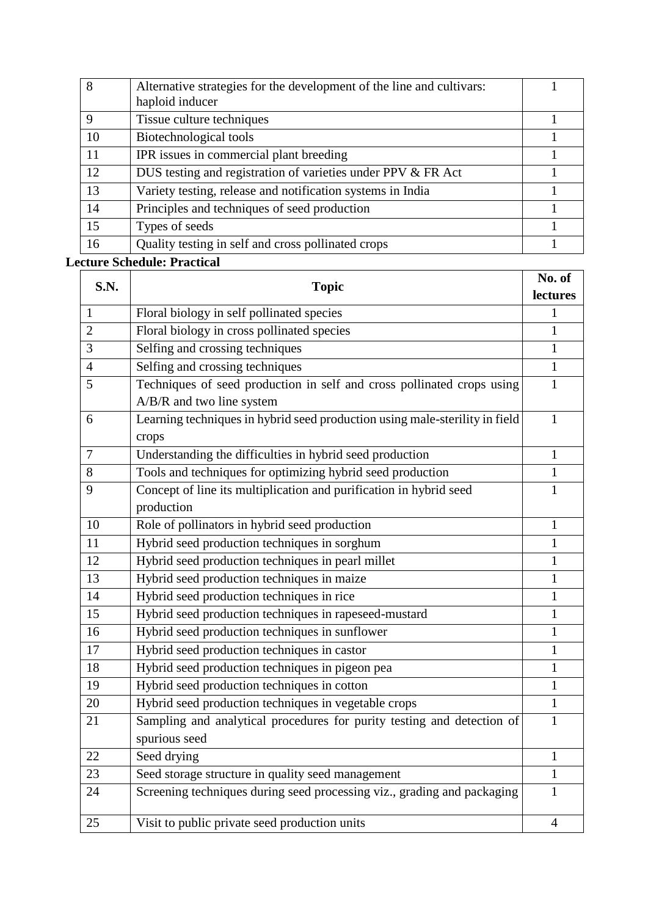| 8  | Alternative strategies for the development of the line and cultivars: |  |
|----|-----------------------------------------------------------------------|--|
|    | haploid inducer                                                       |  |
| 9  | Tissue culture techniques                                             |  |
| 10 | Biotechnological tools                                                |  |
| 11 | IPR issues in commercial plant breeding                               |  |
| 12 | DUS testing and registration of varieties under PPV & FR Act          |  |
| 13 | Variety testing, release and notification systems in India            |  |
| 14 | Principles and techniques of seed production                          |  |
| 15 | Types of seeds                                                        |  |
| 16 | Quality testing in self and cross pollinated crops                    |  |

# **Lecture Schedule: Practical**

| S.N.           | <b>Topic</b>                                                                | No. of         |
|----------------|-----------------------------------------------------------------------------|----------------|
|                |                                                                             | lectures       |
| 1              | Floral biology in self pollinated species                                   | 1              |
| $\overline{2}$ | Floral biology in cross pollinated species                                  | 1              |
| 3              | Selfing and crossing techniques                                             | $\mathbf{1}$   |
| $\overline{4}$ | Selfing and crossing techniques                                             | $\mathbf{1}$   |
| 5              | Techniques of seed production in self and cross pollinated crops using      | $\mathbf{1}$   |
|                | A/B/R and two line system                                                   |                |
| 6              | Learning techniques in hybrid seed production using male-sterility in field | $\mathbf{1}$   |
|                | crops                                                                       |                |
| $\overline{7}$ | Understanding the difficulties in hybrid seed production                    | $\mathbf{1}$   |
| 8              | Tools and techniques for optimizing hybrid seed production                  | $\mathbf{1}$   |
| 9              | Concept of line its multiplication and purification in hybrid seed          | $\mathbf{1}$   |
|                | production                                                                  |                |
| 10             | Role of pollinators in hybrid seed production                               | 1              |
| 11             | Hybrid seed production techniques in sorghum                                | $\mathbf{1}$   |
| 12             | Hybrid seed production techniques in pearl millet                           | $\mathbf{1}$   |
| 13             | Hybrid seed production techniques in maize                                  | $\mathbf{1}$   |
| 14             | Hybrid seed production techniques in rice                                   | 1              |
| 15             | Hybrid seed production techniques in rapeseed-mustard                       | 1              |
| 16             | Hybrid seed production techniques in sunflower                              | $\mathbf{1}$   |
| 17             | Hybrid seed production techniques in castor                                 | $\mathbf{1}$   |
| 18             | Hybrid seed production techniques in pigeon pea                             | $\mathbf{1}$   |
| 19             | Hybrid seed production techniques in cotton                                 | $\mathbf{1}$   |
| 20             | Hybrid seed production techniques in vegetable crops                        | $\mathbf{1}$   |
| 21             | Sampling and analytical procedures for purity testing and detection of      | $\mathbf{1}$   |
|                | spurious seed                                                               |                |
| 22             | Seed drying                                                                 | 1              |
| 23             | Seed storage structure in quality seed management                           | $\mathbf{1}$   |
| 24             | Screening techniques during seed processing viz., grading and packaging     | 1              |
|                |                                                                             |                |
| 25             | Visit to public private seed production units                               | $\overline{4}$ |